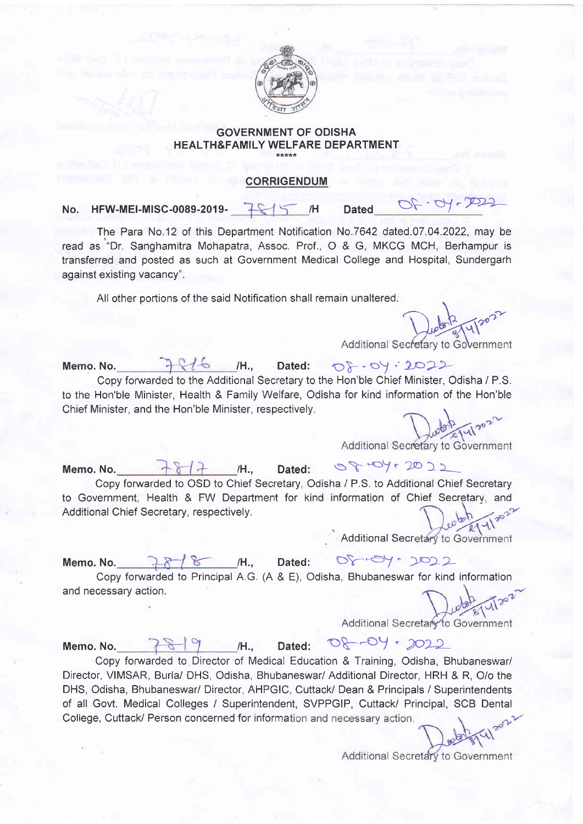

## GOVERNMENT OF ODISHA HEALTH&FAMILY WELFARE DEPARTMENT

## CORRIGENDUM

No. HFW-MEI-MISC-0089-2019-  $H = \sqrt{H}$  Dated

The Para No.12 of this Department Notification No.7642 dated.07.04.2022, may be read as "'Dr. Sanghamitra Mohapatra, Assoc. Prof., O & G, MKCG MCH, Berhampur is transferred and posted as such at Government Medical College and Hospital, Sundergarh against existing vacancy".

All other portions of the said Notification shall remain unaltered.

 $\overline{\phantom{0}}$ Dueton 2 14/2022

Memo. No.  $7616$  /H., Dated:  $08.09:2022$ Copy fonvarded to the Additional Secretary to the Hon'ble Chief Minister, Odisha / P.S. to the Hon'ble Minister, Health & Family Welfare, Odisha for kind information of the Hon'ble Chief Minister, and the Hon'ble Minister, respectively.<br>Additional Secretary to Government

Memo. No.  $\frac{18}{4}$  /H., Dated:  $\frac{8}{3}$  + Oy + 20 22 Copy fonruarded to OSD to Chief Secretary, Odisha / P.S. to Additional Chief Secretary to Government, Health & FW Depafiment for kind information of Chief Secretarv. and Additional Chief Secretary, respectively.

**Additional Secr** 

Memo. No.  $\lambda$   $\lambda$  /  $\lambda$  / H., Copy forwarded to Principal A.G. (A & E), Odisha, Bhubaneswar for kind information and necessary action.  $Dated: 00 - 94 - 1022$ 

Additional Secretary to Government

Memo. No.  $7819$  /H., Dated:  $08-09 \cdot 2022$ 

Copy fonvarded to Director of Medical Education & Training, Odisha, Bhubaneswar/ Director, VIMSAR, Burla/ DHS, Odisha, Bhubaneswar/ Additional Director, HRH & R, O/o the DHS, Odisha, Bhubaneswar/ Director, AHPGIC, Cuttack/ Dean & Principals / Superintendents of all Govt. Medical Colleges / Superintendent, SVPPGIP, Cuttack/ Principal, SCB Dental College, Cuttack/ Person concerned for information and necessary action.

Additional Secretary to Government